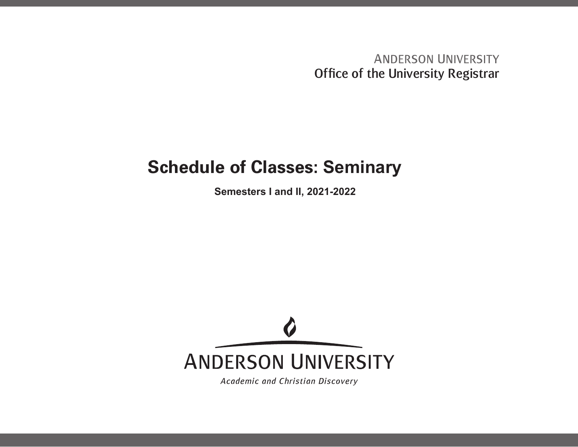**ANDERSON UNIVERSITY** Office of the University Registrar

## **Schedule of Classes: Seminary**

**Semesters I and II, 2021-2022**



Academic and Christian Discovery